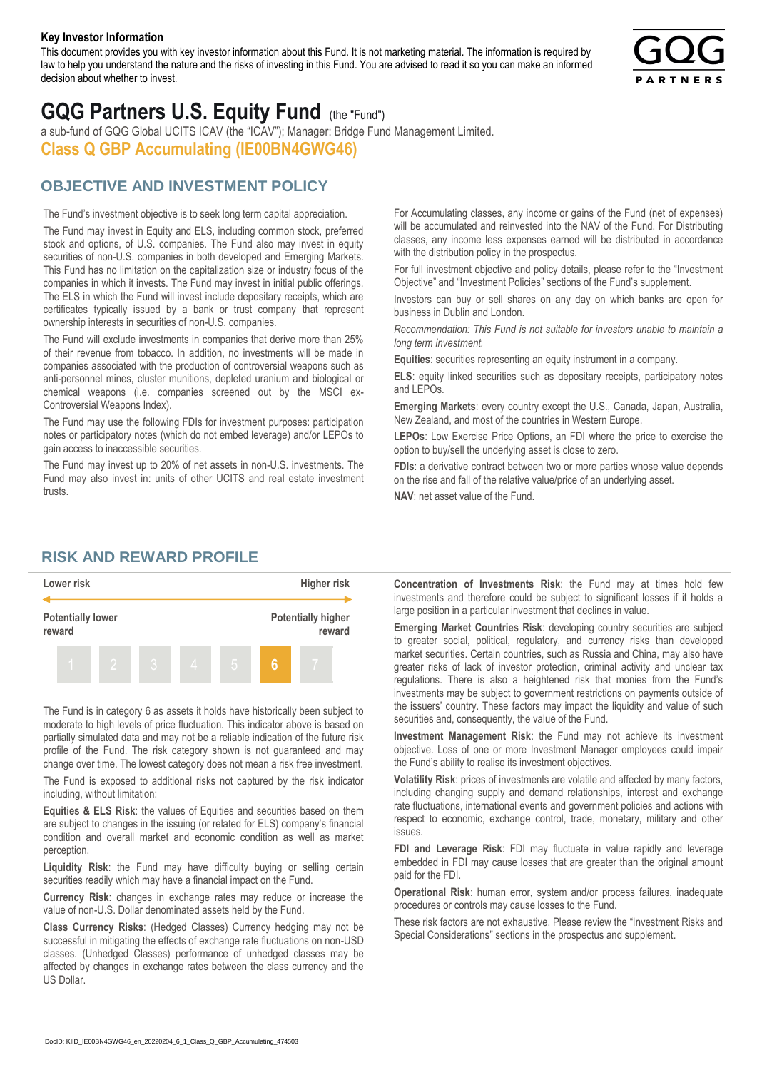#### **Key Investor Information**

This document provides you with key investor information about this Fund. It is not marketing material. The information is required by law to help you understand the nature and the risks of investing in this Fund. You are advised to read it so you can make an informed decision about whether to invest.



# **GQG Partners U.S. Equity Fund** (the "Fund")

a sub-fund of GQG Global UCITS ICAV (the "ICAV"); Manager: Bridge Fund Management Limited. **Class Q GBP Accumulating (IE00BN4GWG46)**

### **OBJECTIVE AND INVESTMENT POLICY**

The Fund's investment objective is to seek long term capital appreciation. The Fund may invest in Equity and ELS, including common stock, preferred stock and options, of U.S. companies. The Fund also may invest in equity securities of non-U.S. companies in both developed and Emerging Markets. This Fund has no limitation on the capitalization size or industry focus of the companies in which it invests. The Fund may invest in initial public offerings. The ELS in which the Fund will invest include depositary receipts, which are certificates typically issued by a bank or trust company that represent ownership interests in securities of non-U.S. companies.

The Fund will exclude investments in companies that derive more than 25% of their revenue from tobacco. In addition, no investments will be made in companies associated with the production of controversial weapons such as anti-personnel mines, cluster munitions, depleted uranium and biological or chemical weapons (i.e. companies screened out by the MSCI ex-Controversial Weapons Index).

The Fund may use the following FDIs for investment purposes: participation notes or participatory notes (which do not embed leverage) and/or LEPOs to gain access to inaccessible securities.

The Fund may invest up to 20% of net assets in non-U.S. investments. The Fund may also invest in: units of other UCITS and real estate investment trusts.

For Accumulating classes, any income or gains of the Fund (net of expenses) will be accumulated and reinvested into the NAV of the Fund. For Distributing classes, any income less expenses earned will be distributed in accordance with the distribution policy in the prospectus.

For full investment objective and policy details, please refer to the "Investment Objective" and "Investment Policies" sections of the Fund's supplement.

Investors can buy or sell shares on any day on which banks are open for business in Dublin and London.

*Recommendation: This Fund is not suitable for investors unable to maintain a long term investment.*

**Equities**: securities representing an equity instrument in a company.

**ELS**: equity linked securities such as depositary receipts, participatory notes and LEPOs.

**Emerging Markets**: every country except the U.S., Canada, Japan, Australia, New Zealand, and most of the countries in Western Europe.

**LEPOs**: Low Exercise Price Options, an FDI where the price to exercise the option to buy/sell the underlying asset is close to zero.

**FDIs**: a derivative contract between two or more parties whose value depends on the rise and fall of the relative value/price of an underlying asset.

**NAV**: net asset value of the Fund.

#### **RISK AND REWARD PROFILE**



The Fund is in category 6 as assets it holds have historically been subject to moderate to high levels of price fluctuation. This indicator above is based on partially simulated data and may not be a reliable indication of the future risk profile of the Fund. The risk category shown is not guaranteed and may change over time. The lowest category does not mean a risk free investment.

The Fund is exposed to additional risks not captured by the risk indicator including, without limitation:

**Equities & ELS Risk**: the values of Equities and securities based on them are subject to changes in the issuing (or related for ELS) company's financial condition and overall market and economic condition as well as market perception.

**Liquidity Risk**: the Fund may have difficulty buying or selling certain securities readily which may have a financial impact on the Fund.

**Currency Risk**: changes in exchange rates may reduce or increase the value of non-U.S. Dollar denominated assets held by the Fund.

**Class Currency Risks**: (Hedged Classes) Currency hedging may not be successful in mitigating the effects of exchange rate fluctuations on non-USD classes. (Unhedged Classes) performance of unhedged classes may be affected by changes in exchange rates between the class currency and the US Dollar.

**Concentration of Investments Risk**: the Fund may at times hold few investments and therefore could be subject to significant losses if it holds a large position in a particular investment that declines in value.

**Emerging Market Countries Risk**: developing country securities are subject to greater social, political, regulatory, and currency risks than developed market securities. Certain countries, such as Russia and China, may also have greater risks of lack of investor protection, criminal activity and unclear tax regulations. There is also a heightened risk that monies from the Fund's investments may be subject to government restrictions on payments outside of the issuers' country. These factors may impact the liquidity and value of such securities and, consequently, the value of the Fund.

**Investment Management Risk**: the Fund may not achieve its investment objective. Loss of one or more Investment Manager employees could impair the Fund's ability to realise its investment objectives.

**Volatility Risk**: prices of investments are volatile and affected by many factors, including changing supply and demand relationships, interest and exchange rate fluctuations, international events and government policies and actions with respect to economic, exchange control, trade, monetary, military and other issues.

**FDI and Leverage Risk**: FDI may fluctuate in value rapidly and leverage embedded in FDI may cause losses that are greater than the original amount paid for the FDI.

**Operational Risk**: human error, system and/or process failures, inadequate procedures or controls may cause losses to the Fund.

These risk factors are not exhaustive. Please review the "Investment Risks and Special Considerations" sections in the prospectus and supplement.